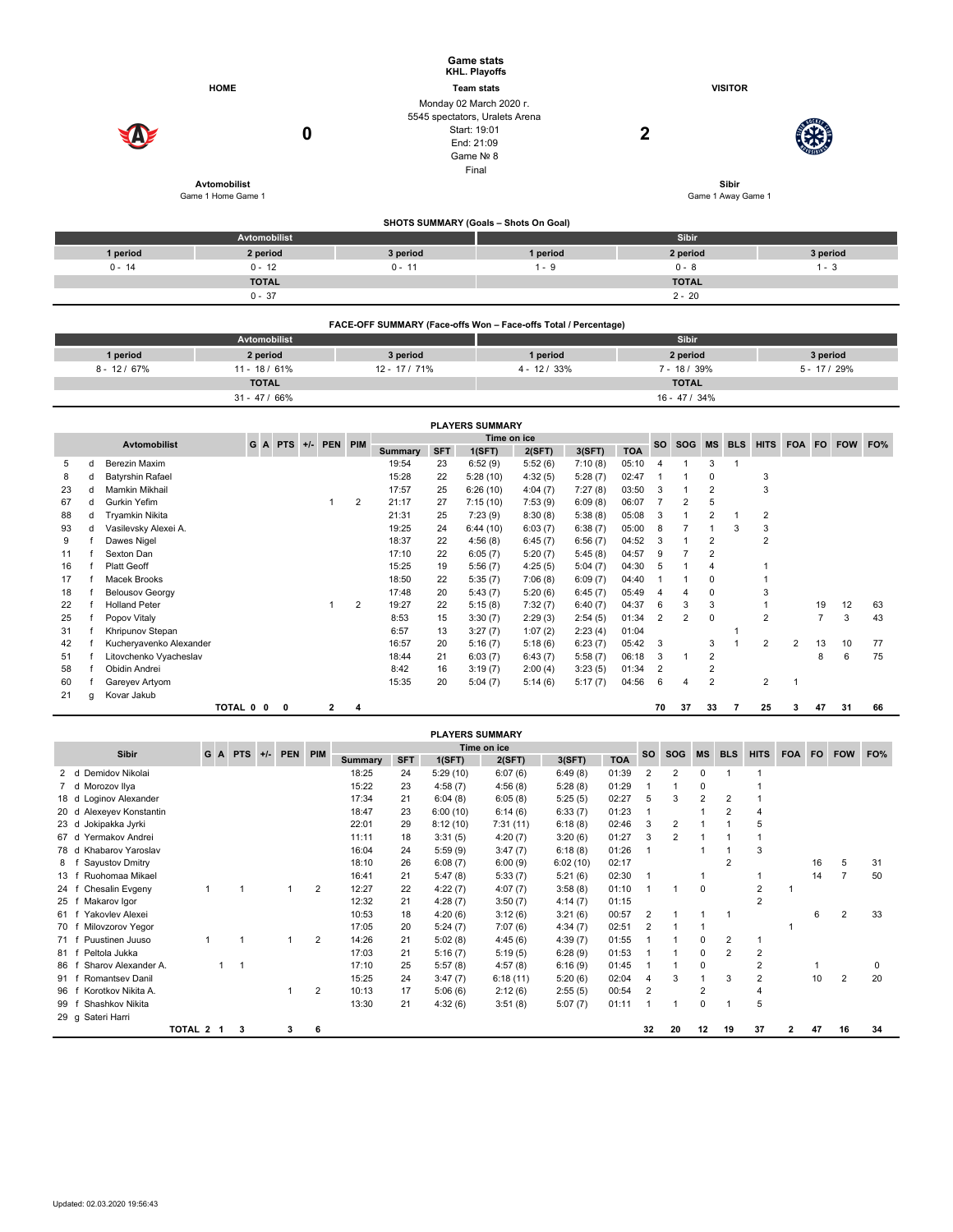|                      |              |                         |                     |              |                     |                   |  |                                       |                |            | <b>Game stats</b><br><b>KHL. Playoffs</b> |                                                                 |          |                |                |                 |                    |              |                           |  |                |            |     |  |  |
|----------------------|--------------|-------------------------|---------------------|--------------|---------------------|-------------------|--|---------------------------------------|----------------|------------|-------------------------------------------|-----------------------------------------------------------------|----------|----------------|----------------|-----------------|--------------------|--------------|---------------------------|--|----------------|------------|-----|--|--|
|                      |              |                         | <b>HOME</b>         |              |                     | <b>Team stats</b> |  |                                       |                |            | <b>VISITOR</b>                            |                                                                 |          |                |                |                 |                    |              |                           |  |                |            |     |  |  |
|                      |              |                         |                     |              |                     |                   |  | Monday 02 March 2020 r.               |                |            |                                           |                                                                 |          |                |                |                 |                    |              |                           |  |                |            |     |  |  |
|                      |              |                         |                     |              |                     |                   |  |                                       |                |            | 5545 spectators, Uralets Arena            |                                                                 |          |                |                |                 |                    |              |                           |  |                |            |     |  |  |
|                      |              |                         |                     |              |                     | $\bf{0}$          |  |                                       |                |            | Start: 19:01                              |                                                                 |          | $\overline{2}$ |                |                 |                    |              |                           |  |                |            |     |  |  |
|                      |              |                         |                     |              |                     |                   |  | End: 21:09                            |                |            |                                           |                                                                 |          |                |                |                 |                    |              |                           |  |                |            |     |  |  |
|                      |              |                         |                     |              |                     |                   |  |                                       |                |            | Game Nº 8                                 |                                                                 |          |                |                |                 |                    |              |                           |  |                |            |     |  |  |
|                      |              |                         |                     |              |                     |                   |  |                                       |                |            | Final                                     |                                                                 |          |                |                |                 |                    |              |                           |  |                |            |     |  |  |
|                      |              |                         | <b>Avtomobilist</b> |              |                     |                   |  |                                       |                |            |                                           |                                                                 |          |                |                |                 |                    | <b>Sibir</b> |                           |  |                |            |     |  |  |
|                      |              |                         | Game 1 Home Game 1  |              |                     |                   |  |                                       |                |            |                                           |                                                                 |          |                |                |                 | Game 1 Away Game 1 |              |                           |  |                |            |     |  |  |
|                      |              |                         |                     |              |                     |                   |  |                                       |                |            |                                           | SHOTS SUMMARY (Goals - Shots On Goal)                           |          |                |                |                 |                    |              |                           |  |                |            |     |  |  |
|                      |              |                         |                     |              | <b>Avtomobilist</b> |                   |  |                                       |                |            |                                           |                                                                 |          |                |                | <b>Sibir</b>    |                    |              |                           |  |                |            |     |  |  |
|                      |              | 1 period                |                     | 2 period     |                     |                   |  |                                       | 3 period       |            |                                           | 1 period                                                        |          |                |                | 2 period        |                    |              | 3 period                  |  |                |            |     |  |  |
|                      |              | $0 - 14$                |                     | $0 - 12$     |                     |                   |  |                                       | $0 - 11$       |            |                                           | $1 - 9$                                                         |          |                |                | $0 - 8$         |                    |              | $1 - 3$                   |  |                |            |     |  |  |
|                      |              |                         |                     | <b>TOTAL</b> |                     |                   |  |                                       |                |            |                                           |                                                                 |          |                |                | <b>TOTAL</b>    |                    |              |                           |  |                |            |     |  |  |
| $0 - 37$             |              |                         |                     |              |                     |                   |  |                                       |                |            |                                           |                                                                 | $2 - 20$ |                |                |                 |                    |              |                           |  |                |            |     |  |  |
|                      |              |                         |                     |              |                     |                   |  |                                       |                |            |                                           |                                                                 |          |                |                |                 |                    |              |                           |  |                |            |     |  |  |
|                      |              |                         |                     |              |                     |                   |  |                                       |                |            |                                           | FACE-OFF SUMMARY (Face-offs Won - Face-offs Total / Percentage) |          |                |                |                 |                    |              |                           |  |                |            |     |  |  |
|                      |              |                         |                     |              | Avtomobilist        |                   |  |                                       |                |            |                                           |                                                                 |          |                |                | <b>Sibir</b>    |                    |              |                           |  |                |            |     |  |  |
| 1 period<br>2 period |              |                         |                     |              |                     |                   |  | 3 period                              |                |            | 1 period                                  |                                                                 |          | 2 period       |                |                 |                    | 3 period     |                           |  |                |            |     |  |  |
|                      |              | $8 - 12 / 67%$          |                     |              | $11 - 18 / 61%$     |                   |  |                                       | $12 - 17/71\%$ |            |                                           | $4 - 12 / 33%$                                                  |          |                |                | $7 - 18 / 39%$  |                    |              |                           |  | $5 - 17 / 29%$ |            |     |  |  |
| <b>TOTAL</b>         |              |                         |                     |              |                     |                   |  |                                       |                |            |                                           |                                                                 |          | <b>TOTAL</b>   |                |                 |                    |              |                           |  |                |            |     |  |  |
|                      |              |                         |                     |              | $31 - 47/66%$       |                   |  |                                       |                |            |                                           |                                                                 |          |                |                | $16 - 47 / 34%$ |                    |              |                           |  |                |            |     |  |  |
|                      |              |                         |                     |              |                     |                   |  |                                       |                |            |                                           |                                                                 |          |                |                |                 |                    |              |                           |  |                |            |     |  |  |
|                      |              |                         |                     |              |                     |                   |  | <b>PLAYERS SUMMARY</b><br>Time on ice |                |            |                                           |                                                                 |          |                |                |                 |                    |              |                           |  |                |            |     |  |  |
|                      |              | <b>Avtomobilist</b>     |                     |              | G A PTS             | +/- PEN PIM       |  |                                       | <b>Summary</b> | <b>SFT</b> | 1(SFT)                                    | 2(SFT)                                                          | 3(SFT)   | <b>TOA</b>     | <b>SO</b>      | <b>SOG</b>      |                    | MS BLS       | <b>HITS</b>               |  |                | FOA FO FOW | FO% |  |  |
| 5                    | d            | Berezin Maxim           |                     |              |                     |                   |  |                                       | 19:54          | 23         | 6:52(9)                                   | 5:52(6)                                                         | 7:10(8)  | 05:10          | $\overline{4}$ | 1               | 3                  | $\mathbf{1}$ |                           |  |                |            |     |  |  |
| 8                    | d            | <b>Batyrshin Rafael</b> |                     |              |                     |                   |  |                                       | 15:28          | 22         | 5:28(10)                                  | 4:32(5)                                                         | 5:28(7)  | 02:47          | $\mathbf{1}$   | 1               | $\mathbf 0$        |              | 3                         |  |                |            |     |  |  |
| 23                   | d            | <b>Mamkin Mikhail</b>   |                     |              |                     |                   |  |                                       | 17:57          | 25         | 6:26(10)                                  | 4:04(7)                                                         | 7:27(8)  | 03:50          | 3              | 1               | $\overline{2}$     |              | 3                         |  |                |            |     |  |  |
| 67                   | d            | Gurkin Yefim            |                     |              |                     | $\mathbf{1}$      |  | $\overline{2}$                        | 21:17          | 27         | 7:15(10)                                  | 7:53(9)                                                         | 6:09(8)  | 06:07          | $\overline{7}$ | $\overline{2}$  | 5                  |              |                           |  |                |            |     |  |  |
| 88                   | d            | <b>Tryamkin Nikita</b>  |                     |              |                     |                   |  |                                       | 21:31          | 25         | 7:23(9)                                   | 8:30(8)                                                         | 5:38(8)  | 05:08          | 3              | 1               | $\overline{c}$     | $\mathbf{1}$ | $\overline{2}$            |  |                |            |     |  |  |
| 93                   | d            | Vasilevsky Alexei A.    |                     |              |                     |                   |  |                                       | 19:25          | 24         | 6:44(10)                                  | 6:03(7)                                                         | 6:38(7)  | 05:00          | 8              | $\overline{7}$  | $\mathbf{1}$       | 3            | $\ensuremath{\mathsf{3}}$ |  |                |            |     |  |  |
| 9                    | $\mathsf{f}$ | Dawes Nigel             |                     |              |                     |                   |  |                                       | 18:37          | 22         | 4:56(8)                                   | 6:45(7)                                                         | 6:56(7)  | 04:52          | 3              | $\mathbf{1}$    | $\overline{2}$     |              | $\overline{2}$            |  |                |            |     |  |  |
| 11                   |              | Sexton Dan              |                     |              |                     |                   |  |                                       | 17:10          | 22         | 6:05(7)                                   | 5:20(7)                                                         | 5:45(8)  | 04:57          | 9              | $\overline{7}$  | $\overline{2}$     |              |                           |  |                |            |     |  |  |
| 16                   | $\mathsf{f}$ | Platt Geoff             |                     |              |                     |                   |  |                                       | 15:25          | 19         | 5:56(7)                                   | 4:25(5)                                                         | 5:04(7)  | 04:30          | 5              | 1               | $\overline{4}$     |              | $\mathbf{1}$              |  |                |            |     |  |  |
| 17                   | f            | <b>Macek Brooks</b>     |                     |              |                     |                   |  |                                       | 18:50          | 22         | 5:35(7)                                   | 7:06(8)                                                         | 6:09(7)  | 04:40          | $\mathbf{1}$   | $\mathbf{1}$    | 0                  |              | $\mathbf{1}$              |  |                |            |     |  |  |
| 18                   | f            | <b>Belousov Georgy</b>  |                     |              |                     |                   |  |                                       | 17:48          | 20         | 5:43(7)                                   | 5:20(6)                                                         | 6:45(7)  | 05:49          | 4              | 4               | $\pmb{0}$          |              | 3                         |  |                |            |     |  |  |
| 22                   | $\mathbf{f}$ | <b>Holland Peter</b>    |                     |              |                     | $\mathbf{1}$      |  | $\overline{2}$                        | 19:27          | 22         | 5:15(8)                                   | 7:32(7)                                                         | 6:40(7)  | 04:37          | 6              | 3               | 3                  |              | $\mathbf{1}$              |  | 19             | 12         | 63  |  |  |
| 25                   | $\mathsf{f}$ | Popov Vitaly            |                     |              |                     |                   |  |                                       | 8:53           | 15         | 3:30(7)                                   | 2:29(3)                                                         | 2:54(5)  | 01:34          | 2              | $\overline{2}$  | $\mathbf 0$        |              | $\overline{2}$            |  | $\overline{7}$ | 3          | 43  |  |  |
| 31                   | $\mathbf f$  | Khripunov Stepan        |                     |              |                     |                   |  |                                       | 6:57           | 13         | 3:27(7)                                   | 1:07(2)                                                         | 2:23(4)  | 01:04          |                |                 |                    | 1            |                           |  |                |            |     |  |  |

|    |                        | ________  |     |  |       |    | <b>PLAYERS SUMMARY</b> |         |         |       |    |    |    |    |    |    |    |
|----|------------------------|-----------|-----|--|-------|----|------------------------|---------|---------|-------|----|----|----|----|----|----|----|
|    |                        | TOTAL 0 0 | - 0 |  |       |    |                        |         |         |       | 70 | 37 | 33 | 25 | 47 | 31 | 66 |
| 21 | Kovar Jakub            |           |     |  |       |    |                        |         |         |       |    |    |    |    |    |    |    |
| 60 | Gareyev Artyom         |           |     |  | 15:35 | 20 | 5:04(7)                | 5:14(6) | 5:17(7) | 04:56 | -6 |    |    |    |    |    |    |
| 58 | Obidin Andrei          |           |     |  | 8:42  | 16 | 3:19(7)                | 2:00(4) | 3:23(5) | 01:34 |    |    |    |    |    |    |    |
| 51 | Litovchenko Vyacheslav |           |     |  | 18:44 | 21 | 6:03(7)                | 6:43(7) | 5:58(7) | 06:18 |    |    |    |    |    | 6  | 75 |

42 f Kucheryavenko Alexander 16:57 20 5:16 (7) 5:18 (6) 6:23 (7) 05:42 3 3 1 2 2 13 10 77

| Sibir          |                     | G         |   |                         |       |         |                | Time on ice    |            |          |          |          |            | <b>SO</b>      | <b>SOG</b>    | <b>MS</b> | <b>BLS</b> |                |            | <b>FO</b> |                |     |
|----------------|---------------------|-----------|---|-------------------------|-------|---------|----------------|----------------|------------|----------|----------|----------|------------|----------------|---------------|-----------|------------|----------------|------------|-----------|----------------|-----|
|                |                     |           | A | <b>PTS</b>              | $+/-$ | PEN PIM |                | <b>Summary</b> | <b>SFT</b> | 1(SFT)   | 2(SFT)   | 3(SFT)   | <b>TOA</b> |                |               |           |            | <b>HITS</b>    | <b>FOA</b> |           | <b>FOW</b>     | FO% |
| 2 <sub>d</sub> | Demidov Nikolai     |           |   |                         |       |         |                | 18:25          | 24         | 5:29(10) | 6:07(6)  | 6:49(8)  | 01:39      | $\overline{2}$ |               |           |            |                |            |           |                |     |
| 7 d            | Morozov Ilya        |           |   |                         |       |         |                | 15:22          | 23         | 4:58(7)  | 4:56(8)  | 5:28(8)  | 01:29      |                |               |           |            |                |            |           |                |     |
| 18 d           | Loginov Alexander   |           |   |                         |       |         |                | 17:34          | 21         | 6:04(8)  | 6:05(8)  | 5:25(5)  | 02:27      | 5              | 3             |           | 2          |                |            |           |                |     |
| 20 d           | Alexeyev Konstantin |           |   |                         |       |         |                | 18:47          | 23         | 6:00(10) | 6:14(6)  | 6:33(7)  | 01:23      |                |               |           | 2          |                |            |           |                |     |
| 23 d           | Jokipakka Jyrki     |           |   |                         |       |         |                | 22:01          | 29         | 8:12(10) | 7:31(11) | 6:18(8)  | 02:46      | 3              |               |           |            |                |            |           |                |     |
| 67 d           | Yermakov Andrei     |           |   |                         |       |         |                | 11:11          | 18         | 3:31(5)  | 4:20(7)  | 3:20(6)  | 01:27      | 3              | $\mathcal{P}$ |           |            |                |            |           |                |     |
| 78 d           | Khabarov Yaroslav   |           |   |                         |       |         |                | 16:04          | 24         | 5:59(9)  | 3:47(7)  | 6:18(8)  | 01:26      |                |               |           |            | 3              |            |           |                |     |
| 8              | Sayustov Dmitry     |           |   |                         |       |         |                | 18:10          | 26         | 6:08(7)  | 6:00(9)  | 6:02(10) | 02:17      |                |               |           | 2          |                |            | 16        | 5              | 31  |
| 13             | Ruohomaa Mikael     |           |   |                         |       |         |                | 16:41          | 21         | 5:47(8)  | 5:33(7)  | 5:21(6)  | 02:30      |                |               |           |            |                |            | 14        |                | 50  |
| 24             | Chesalin Evgeny     |           |   |                         |       |         | $\overline{2}$ | 12:27          | 22         | 4:22(7)  | 4:07(7)  | 3:58(8)  | 01:10      |                |               | $\Omega$  |            | 2              |            |           |                |     |
| 25             | Makarov Igor        |           |   |                         |       |         |                | 12:32          | 21         | 4:28(7)  | 3:50(7)  | 4:14(7)  | 01:15      |                |               |           |            | $\overline{2}$ |            |           |                |     |
| 61             | Yakovlev Alexei     |           |   |                         |       |         |                | 10:53          | 18         | 4:20(6)  | 3:12(6)  | 3:21(6)  | 00:57      | 2              |               |           |            |                |            | 6         | $\overline{2}$ | 33  |
| 70             | Milovzorov Yegor    |           |   |                         |       |         |                | 17:05          | 20         | 5:24(7)  | 7:07(6)  | 4:34(7)  | 02:51      | $\overline{2}$ |               |           |            |                |            |           |                |     |
| 71 1           | Puustinen Juuso     |           |   | 1                       |       |         | 2              | 14:26          | 21         | 5:02(8)  | 4:45(6)  | 4:39(7)  | 01:55      |                |               |           | 2          |                |            |           |                |     |
| 81             | Peltola Jukka       |           |   |                         |       |         |                | 17:03          | 21         | 5:16(7)  | 5:19(5)  | 6:28(9)  | 01:53      |                |               | 0         | 2          | 2              |            |           |                |     |
| 86             | Sharov Alexander A. |           |   | $\overline{\mathbf{1}}$ |       |         |                | 17:10          | 25         | 5:57(8)  | 4:57(8)  | 6:16(9)  | 01:45      |                |               | $\Omega$  |            | $\overline{2}$ |            |           |                | 0   |
| 91             | Romantsev Danil     |           |   |                         |       |         |                | 15:25          | 24         | 3:47(7)  | 6:18(11) | 5:20(6)  | 02:04      | 4              | 3             |           | 3          | $\overline{2}$ |            | 10        | $\overline{2}$ | 20  |
| 96             | Korotkov Nikita A.  |           |   |                         |       |         | $\overline{2}$ | 10:13          | 17         | 5:06(6)  | 2:12(6)  | 2:55(5)  | 00:54      | 2              |               |           |            |                |            |           |                |     |
| 99             | Shashkov Nikita     |           |   |                         |       |         |                | 13:30          | 21         | 4:32(6)  | 3:51(8)  | 5:07(7)  | 01:11      |                |               | 0         |            | 5              |            |           |                |     |
|                | 29 g Sateri Harri   |           |   |                         |       |         |                |                |            |          |          |          |            |                |               |           |            |                |            |           |                |     |
|                |                     | TOTAL 2 1 |   | 3                       |       | 3       | 6              |                |            |          |          |          |            | 32             | 20            | 12        | 19         | 37             | 2          | 47        | 16             | 34  |